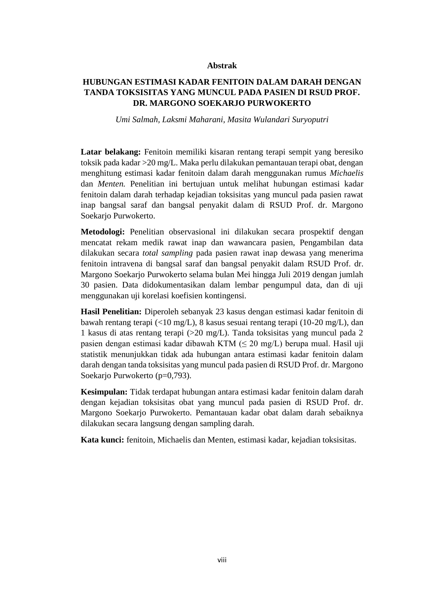## **Abstrak**

## **HUBUNGAN ESTIMASI KADAR FENITOIN DALAM DARAH DENGAN TANDA TOKSISITAS YANG MUNCUL PADA PASIEN DI RSUD PROF. DR. MARGONO SOEKARJO PURWOKERTO**

*Umi Salmah, Laksmi Maharani, Masita Wulandari Suryoputri*

**Latar belakang:** Fenitoin memiliki kisaran rentang terapi sempit yang beresiko toksik pada kadar >20 mg/L. Maka perlu dilakukan pemantauan terapi obat, dengan menghitung estimasi kadar fenitoin dalam darah menggunakan rumus *Michaelis*  dan *Menten.* Penelitian ini bertujuan untuk melihat hubungan estimasi kadar fenitoin dalam darah terhadap kejadian toksisitas yang muncul pada pasien rawat inap bangsal saraf dan bangsal penyakit dalam di RSUD Prof. dr. Margono Soekarjo Purwokerto.

**Metodologi:** Penelitian observasional ini dilakukan secara prospektif dengan mencatat rekam medik rawat inap dan wawancara pasien, Pengambilan data dilakukan secara *total sampling* pada pasien rawat inap dewasa yang menerima fenitoin intravena di bangsal saraf dan bangsal penyakit dalam RSUD Prof. dr. Margono Soekarjo Purwokerto selama bulan Mei hingga Juli 2019 dengan jumlah 30 pasien. Data didokumentasikan dalam lembar pengumpul data, dan di uji menggunakan uji korelasi koefisien kontingensi.

**Hasil Penelitian:** Diperoleh sebanyak 23 kasus dengan estimasi kadar fenitoin di bawah rentang terapi (<10 mg/L), 8 kasus sesuai rentang terapi (10-20 mg/L), dan 1 kasus di atas rentang terapi (>20 mg/L). Tanda toksisitas yang muncul pada 2 pasien dengan estimasi kadar dibawah KTM (≤ 20 mg/L) berupa mual. Hasil uji statistik menunjukkan tidak ada hubungan antara estimasi kadar fenitoin dalam darah dengan tanda toksisitas yang muncul pada pasien di RSUD Prof. dr. Margono Soekario Purwokerto (p=0,793).

**Kesimpulan:** Tidak terdapat hubungan antara estimasi kadar fenitoin dalam darah dengan kejadian toksisitas obat yang muncul pada pasien di RSUD Prof. dr. Margono Soekarjo Purwokerto. Pemantauan kadar obat dalam darah sebaiknya dilakukan secara langsung dengan sampling darah.

**Kata kunci:** fenitoin, Michaelis dan Menten, estimasi kadar, kejadian toksisitas.